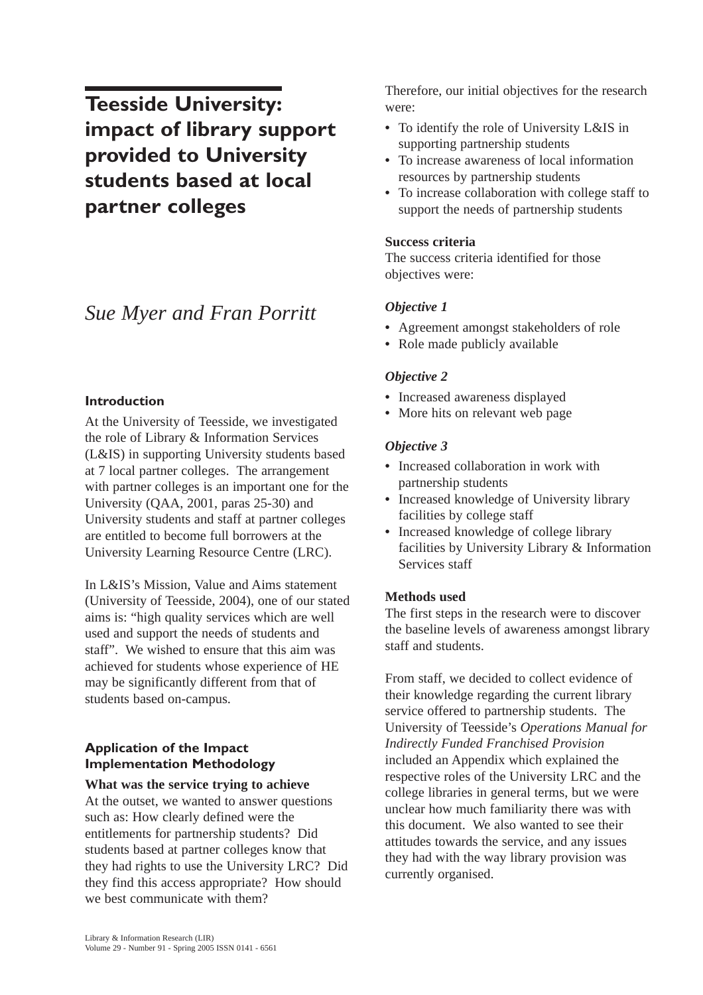**Teesside University: impact of library support provided to University students based at local partner colleges**

# *Sue Myer and Fran Porritt*

## **Introduction**

At the University of Teesside, we investigated the role of Library & Information Services (L&IS) in supporting University students based at 7 local partner colleges. The arrangement with partner colleges is an important one for the University (QAA, 2001, paras 25-30) and University students and staff at partner colleges are entitled to become full borrowers at the University Learning Resource Centre (LRC).

In L&IS's Mission, Value and Aims statement (University of Teesside, 2004), one of our stated aims is: "high quality services which are well used and support the needs of students and staff". We wished to ensure that this aim was achieved for students whose experience of HE may be significantly different from that of students based on-campus.

# **Application of the Impact Implementation Methodology**

**What was the service trying to achieve** At the outset, we wanted to answer questions such as: How clearly defined were the entitlements for partnership students? Did students based at partner colleges know that they had rights to use the University LRC? Did they find this access appropriate? How should we best communicate with them?

Therefore, our initial objectives for the research were:

- **•** To identify the role of University L&IS in supporting partnership students
- **•** To increase awareness of local information resources by partnership students
- **•** To increase collaboration with college staff to support the needs of partnership students

#### **Success criteria**

The success criteria identified for those objectives were:

## *Objective 1*

- **•** Agreement amongst stakeholders of role
- **•** Role made publicly available

#### *Objective 2*

- **•** Increased awareness displayed
- **•** More hits on relevant web page

## *Objective 3*

- **•** Increased collaboration in work with partnership students
- **•** Increased knowledge of University library facilities by college staff
- **•** Increased knowledge of college library facilities by University Library & Information Services staff

## **Methods used**

The first steps in the research were to discover the baseline levels of awareness amongst library staff and students.

From staff, we decided to collect evidence of their knowledge regarding the current library service offered to partnership students. The University of Teesside's *Operations Manual for Indirectly Funded Franchised Provision* included an Appendix which explained the respective roles of the University LRC and the college libraries in general terms, but we were unclear how much familiarity there was with this document. We also wanted to see their attitudes towards the service, and any issues they had with the way library provision was currently organised.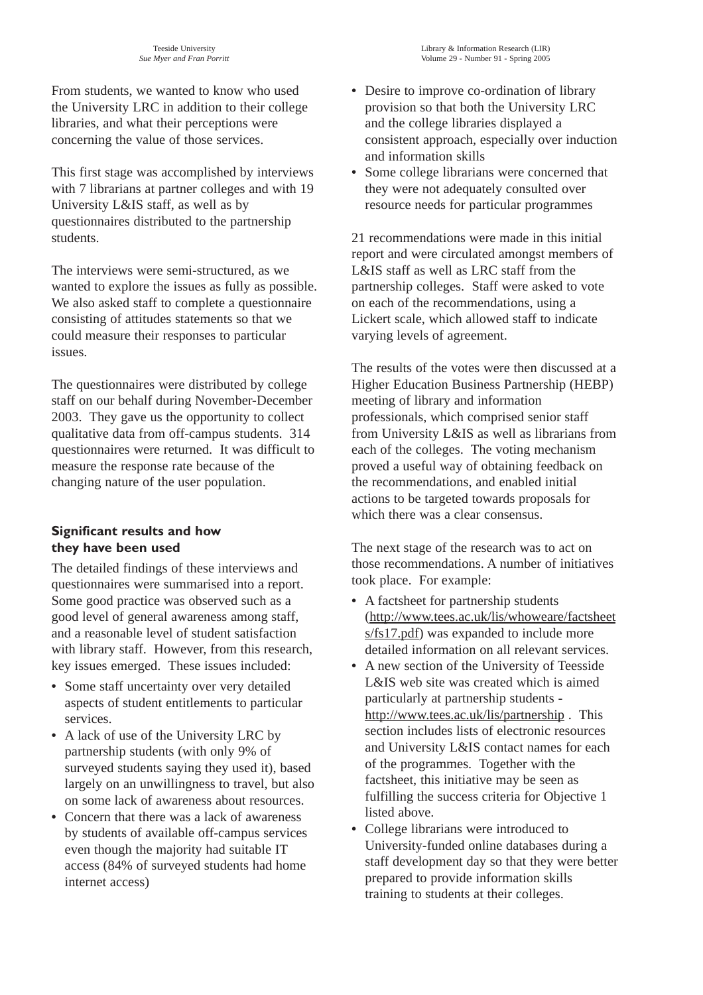From students, we wanted to know who used the University LRC in addition to their college libraries, and what their perceptions were concerning the value of those services.

This first stage was accomplished by interviews with 7 librarians at partner colleges and with 19 University L&IS staff, as well as by questionnaires distributed to the partnership students.

The interviews were semi-structured, as we wanted to explore the issues as fully as possible. We also asked staff to complete a questionnaire consisting of attitudes statements so that we could measure their responses to particular issues.

The questionnaires were distributed by college staff on our behalf during November-December 2003. They gave us the opportunity to collect qualitative data from off-campus students. 314 questionnaires were returned. It was difficult to measure the response rate because of the changing nature of the user population.

## **Significant results and how they have been used**

The detailed findings of these interviews and questionnaires were summarised into a report. Some good practice was observed such as a good level of general awareness among staff, and a reasonable level of student satisfaction with library staff. However, from this research, key issues emerged. These issues included:

- **•** Some staff uncertainty over very detailed aspects of student entitlements to particular services.
- **•** A lack of use of the University LRC by partnership students (with only 9% of surveyed students saying they used it), based largely on an unwillingness to travel, but also on some lack of awareness about resources.
- **•** Concern that there was a lack of awareness by students of available off-campus services even though the majority had suitable IT access (84% of surveyed students had home internet access)
- **•** Desire to improve co-ordination of library provision so that both the University LRC and the college libraries displayed a consistent approach, especially over induction and information skills
- **•** Some college librarians were concerned that they were not adequately consulted over resource needs for particular programmes

21 recommendations were made in this initial report and were circulated amongst members of L&IS staff as well as LRC staff from the partnership colleges. Staff were asked to vote on each of the recommendations, using a Lickert scale, which allowed staff to indicate varying levels of agreement.

The results of the votes were then discussed at a Higher Education Business Partnership (HEBP) meeting of library and information professionals, which comprised senior staff from University L&IS as well as librarians from each of the colleges. The voting mechanism proved a useful way of obtaining feedback on the recommendations, and enabled initial actions to be targeted towards proposals for which there was a clear consensus.

The next stage of the research was to act on those recommendations. A number of initiatives took place. For example:

- **•** A factsheet for partnership students (http://www.tees.ac.uk/lis/whoweare/factsheet s/fs17.pdf) was expanded to include more detailed information on all relevant services.
- A new section of the University of Teesside L&IS web site was created which is aimed particularly at partnership students http://www.tees.ac.uk/lis/partnership . This section includes lists of electronic resources and University L&IS contact names for each of the programmes. Together with the factsheet, this initiative may be seen as fulfilling the success criteria for Objective 1 listed above.
- **•** College librarians were introduced to University-funded online databases during a staff development day so that they were better prepared to provide information skills training to students at their colleges.